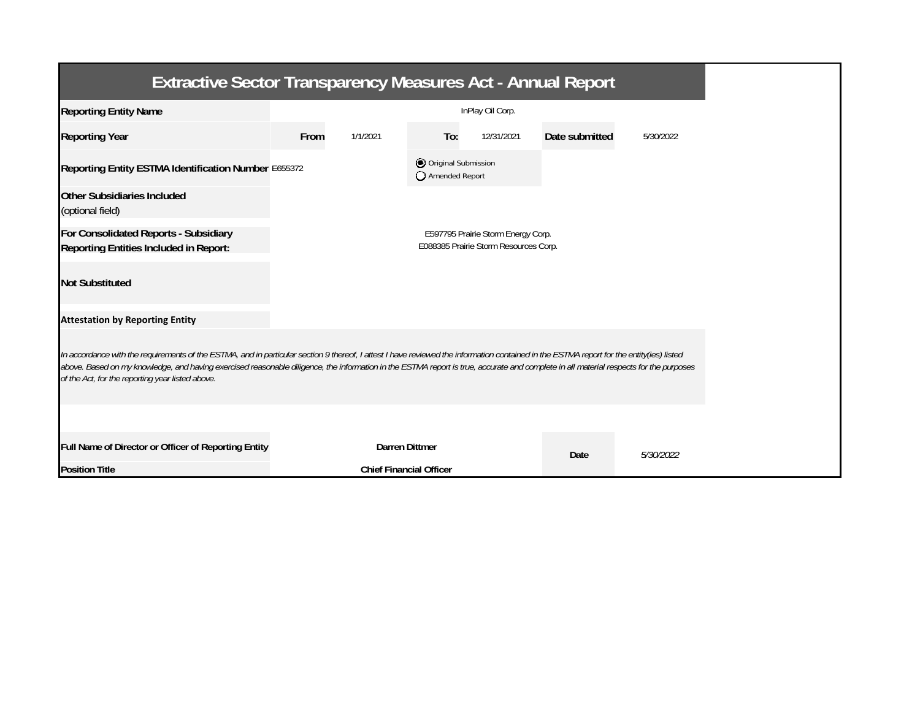| <b>Extractive Sector Transparency Measures Act - Annual Report</b>                                                                                                                                                                                                                                                                                                                                                                    |                  |                                |                                       |            |                |           |  |  |  |
|---------------------------------------------------------------------------------------------------------------------------------------------------------------------------------------------------------------------------------------------------------------------------------------------------------------------------------------------------------------------------------------------------------------------------------------|------------------|--------------------------------|---------------------------------------|------------|----------------|-----------|--|--|--|
| <b>Reporting Entity Name</b>                                                                                                                                                                                                                                                                                                                                                                                                          | InPlay Oil Corp. |                                |                                       |            |                |           |  |  |  |
| <b>Reporting Year</b>                                                                                                                                                                                                                                                                                                                                                                                                                 | From             | 1/1/2021                       | To:                                   | 12/31/2021 | Date submitted | 5/30/2022 |  |  |  |
| Reporting Entity ESTMA Identification Number E655372                                                                                                                                                                                                                                                                                                                                                                                  |                  |                                | Original Submission<br>Amended Report |            |                |           |  |  |  |
| <b>Other Subsidiaries Included</b><br>(optional field)                                                                                                                                                                                                                                                                                                                                                                                |                  |                                |                                       |            |                |           |  |  |  |
| For Consolidated Reports - Subsidiary<br>E597795 Prairie Storm Energy Corp.<br>E088385 Prairie Storm Resources Corp.<br>Reporting Entities Included in Report:                                                                                                                                                                                                                                                                        |                  |                                |                                       |            |                |           |  |  |  |
| <b>Not Substituted</b>                                                                                                                                                                                                                                                                                                                                                                                                                |                  |                                |                                       |            |                |           |  |  |  |
| <b>Attestation by Reporting Entity</b>                                                                                                                                                                                                                                                                                                                                                                                                |                  |                                |                                       |            |                |           |  |  |  |
| In accordance with the requirements of the ESTMA, and in particular section 9 thereof, I attest I have reviewed the information contained in the ESTMA report for the entity(ies) listed<br>above. Based on my knowledge, and having exercised reasonable diligence, the information in the ESTMA report is true, accurate and complete in all material respects for the purposes<br>of the Act, for the reporting year listed above. |                  |                                |                                       |            |                |           |  |  |  |
|                                                                                                                                                                                                                                                                                                                                                                                                                                       |                  |                                |                                       |            |                |           |  |  |  |
| Full Name of Director or Officer of Reporting Entity                                                                                                                                                                                                                                                                                                                                                                                  |                  | Darren Dittmer                 |                                       |            | Date           | 5/30/2022 |  |  |  |
| <b>Position Title</b>                                                                                                                                                                                                                                                                                                                                                                                                                 |                  | <b>Chief Financial Officer</b> |                                       |            |                |           |  |  |  |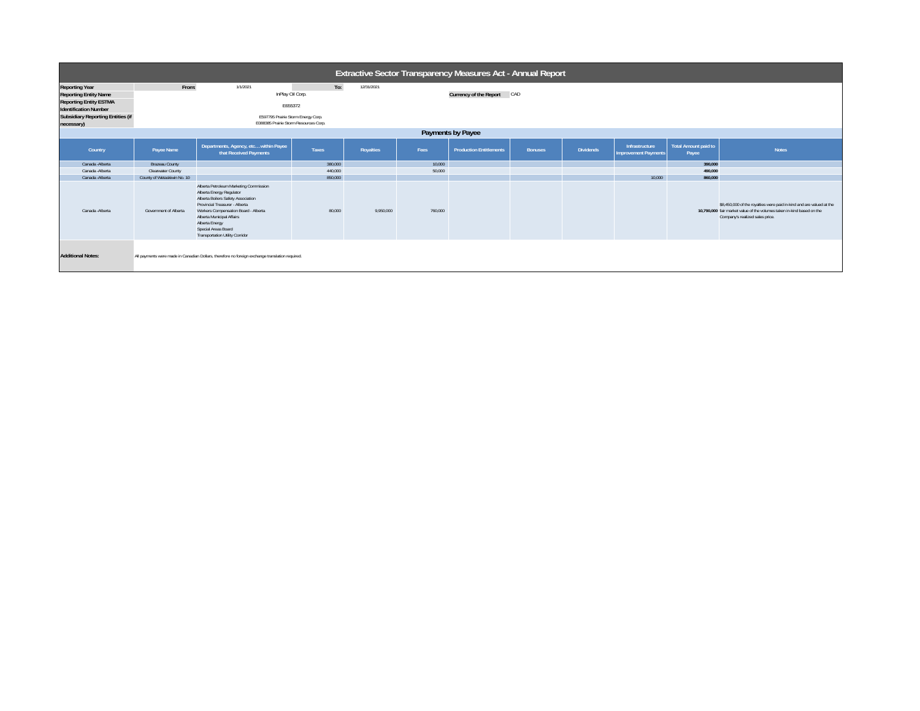| <b>Extractive Sector Transparency Measures Act - Annual Report</b> |                             |                                                                                                                                                                                                                                                                                                    |         |            |         |                                |                |                  |                                        |                                      |                                                                                                                                                                                   |
|--------------------------------------------------------------------|-----------------------------|----------------------------------------------------------------------------------------------------------------------------------------------------------------------------------------------------------------------------------------------------------------------------------------------------|---------|------------|---------|--------------------------------|----------------|------------------|----------------------------------------|--------------------------------------|-----------------------------------------------------------------------------------------------------------------------------------------------------------------------------------|
| <b>Reporting Year</b>                                              | From:                       | 1/1/2021                                                                                                                                                                                                                                                                                           | To:     | 12/31/2021 |         |                                |                |                  |                                        |                                      |                                                                                                                                                                                   |
| <b>Reporting Entity Name</b>                                       |                             | InPlay Oil Corp.                                                                                                                                                                                                                                                                                   |         |            |         | Currency of the Report CAD     |                |                  |                                        |                                      |                                                                                                                                                                                   |
| <b>Reporting Entity ESTMA</b>                                      |                             |                                                                                                                                                                                                                                                                                                    |         |            |         |                                |                |                  |                                        |                                      |                                                                                                                                                                                   |
| <b>Identification Number</b>                                       | E655372                     |                                                                                                                                                                                                                                                                                                    |         |            |         |                                |                |                  |                                        |                                      |                                                                                                                                                                                   |
| <b>Subsidiary Reporting Entities (if</b>                           |                             |                                                                                                                                                                                                                                                                                                    |         |            |         |                                |                |                  |                                        |                                      |                                                                                                                                                                                   |
|                                                                    |                             | E597795 Prairie Storm Energy Corp.<br>E088385 Prairie Storm Resources Corp.                                                                                                                                                                                                                        |         |            |         |                                |                |                  |                                        |                                      |                                                                                                                                                                                   |
|                                                                    | necessary)                  |                                                                                                                                                                                                                                                                                                    |         |            |         |                                |                |                  |                                        |                                      |                                                                                                                                                                                   |
| Payments by Payee                                                  |                             |                                                                                                                                                                                                                                                                                                    |         |            |         |                                |                |                  |                                        |                                      |                                                                                                                                                                                   |
| Country                                                            | Payee Name                  | Departments, Agency, etc within Payee<br>that Received Payments                                                                                                                                                                                                                                    | Taxes   | Royalties  | Fees    | <b>Production Entitlements</b> | <b>Bonuses</b> | <b>Dividends</b> | Infrastructure<br>Improvement Payments | <b>Total Amount paid to</b><br>Payee | <b>Notes</b>                                                                                                                                                                      |
| Canada - Alberta                                                   | <b>Brazeau County</b>       |                                                                                                                                                                                                                                                                                                    | 380,000 |            | 10,000  |                                |                |                  |                                        | 390,000                              |                                                                                                                                                                                   |
| Canada - Alberta                                                   | <b>Clearwater County</b>    |                                                                                                                                                                                                                                                                                                    | 440,000 |            | 50,000  |                                |                |                  |                                        | 490,000                              |                                                                                                                                                                                   |
| Canada - Alberta                                                   | County of Wetaskiwin No. 10 |                                                                                                                                                                                                                                                                                                    | 850,000 |            |         |                                |                |                  | 10,000                                 | 860,000                              |                                                                                                                                                                                   |
| Canada - Alberta                                                   | Government of Alberta       | Alberta Petroleum Marketing Commission<br>Alberta Energy Regulator<br>Alberta Boilers Safety Association<br>Provincial Treasurer - Alberta<br>Workers Compensation Board - Alberta<br>Alberta Municipal Affairs<br>Alberta Energy<br>Special Areas Board<br><b>Transportation Utility Corridor</b> | 80,000  | 9.950.000  | 760,000 |                                |                |                  |                                        |                                      | \$8,450,000 of the royalties were paid in-kind and are valued at the<br>10,790,000 fair market value of the volumes taken in-kind based on the<br>Company's realized sales price. |
| <b>Additional Notes:</b>                                           |                             | All payments were made in Canadian Dollars, therefore no foreign exchange translation required.                                                                                                                                                                                                    |         |            |         |                                |                |                  |                                        |                                      |                                                                                                                                                                                   |